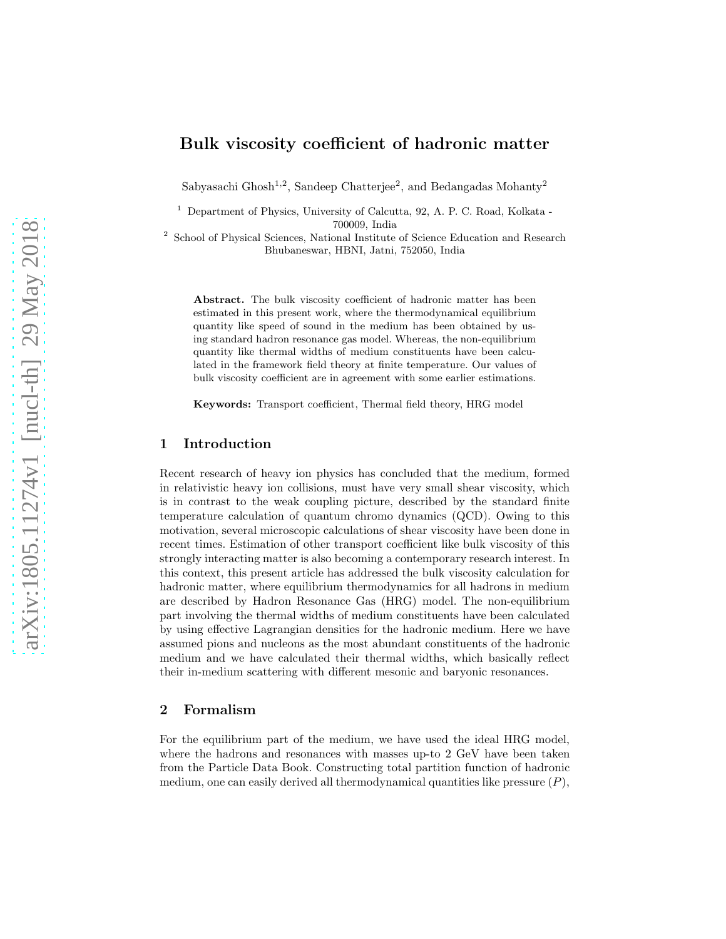# Bulk viscosity coefficient of hadronic matter

Sabyasachi Ghosh<sup>1,2</sup>, Sandeep Chatterjee<sup>2</sup>, and Bedangadas Mohanty<sup>2</sup>

<sup>1</sup> Department of Physics, University of Calcutta, 92, A. P. C. Road, Kolkata -700009, India

2 School of Physical Sciences, National Institute of Science Education and Research Bhubaneswar, HBNI, Jatni, 752050, India

Abstract. The bulk viscosity coefficient of hadronic matter has been estimated in this present work, where the thermodynamical equilibrium quantity like speed of sound in the medium has been obtained by using standard hadron resonance gas model. Whereas, the non-equilibrium quantity like thermal widths of medium constituents have been calculated in the framework field theory at finite temperature. Our values of bulk viscosity coefficient are in agreement with some earlier estimations.

Keywords: Transport coefficient, Thermal field theory, HRG model

# 1 Introduction

Recent research of heavy ion physics has concluded that the medium, formed in relativistic heavy ion collisions, must have very small shear viscosity, which is in contrast to the weak coupling picture, described by the standard finite temperature calculation of quantum chromo dynamics (QCD). Owing to this motivation, several microscopic calculations of shear viscosity have been done in recent times. Estimation of other transport coefficient like bulk viscosity of this strongly interacting matter is also becoming a contemporary research interest. In this context, this present article has addressed the bulk viscosity calculation for hadronic matter, where equilibrium thermodynamics for all hadrons in medium are described by Hadron Resonance Gas (HRG) model. The non-equilibrium part involving the thermal widths of medium constituents have been calculated by using effective Lagrangian densities for the hadronic medium. Here we have assumed pions and nucleons as the most abundant constituents of the hadronic medium and we have calculated their thermal widths, which basically reflect their in-medium scattering with different mesonic and baryonic resonances.

### 2 Formalism

For the equilibrium part of the medium, we have used the ideal HRG model, where the hadrons and resonances with masses up-to 2 GeV have been taken from the Particle Data Book. Constructing total partition function of hadronic medium, one can easily derived all thermodynamical quantities like pressure  $(P)$ ,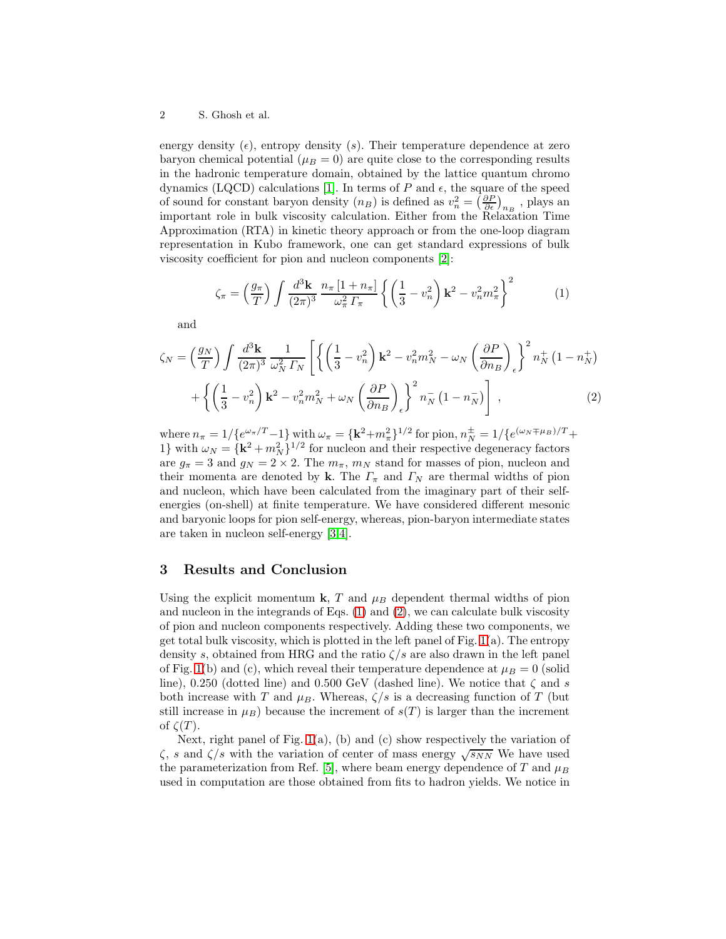#### 2 S. Ghosh et al.

energy density  $(\epsilon)$ , entropy density  $(s)$ . Their temperature dependence at zero baryon chemical potential ( $\mu_B = 0$ ) are quite close to the corresponding results in the hadronic temperature domain, obtained by the lattice quantum chromo dynamics (LQCD) calculations [\[1\]](#page-2-0). In terms of P and  $\epsilon$ , the square of the speed of sound for constant baryon density  $(n_B)$  is defined as  $v_n^2 = \left(\frac{\partial P}{\partial \epsilon}\right)_{n_B}$ , plays an important role in bulk viscosity calculation. Either from the Relaxation Time Approximation (RTA) in kinetic theory approach or from the one-loop diagram representation in Kubo framework, one can get standard expressions of bulk viscosity coefficient for pion and nucleon components [\[2\]](#page-2-1):

<span id="page-1-0"></span>
$$
\zeta_{\pi} = \left(\frac{g_{\pi}}{T}\right) \int \frac{d^3 \mathbf{k}}{(2\pi)^3} \frac{n_{\pi} \left[1 + n_{\pi}\right]}{\omega_{\pi}^2 \Gamma_{\pi}} \left\{ \left(\frac{1}{3} - v_n^2\right) \mathbf{k}^2 - v_n^2 m_{\pi}^2 \right\}^2 \tag{1}
$$

and

<span id="page-1-1"></span>
$$
\zeta_N = \left(\frac{g_N}{T}\right) \int \frac{d^3 \mathbf{k}}{(2\pi)^3} \frac{1}{\omega_N^2 \Gamma_N} \left[ \left\{ \left(\frac{1}{3} - v_n^2\right) \mathbf{k}^2 - v_n^2 m_N^2 - \omega_N \left(\frac{\partial P}{\partial n_B}\right) \right\}^2 n_N^+ \left(1 - n_N^+\right) \right. \\ \left. + \left\{ \left(\frac{1}{3} - v_n^2\right) \mathbf{k}^2 - v_n^2 m_N^2 + \omega_N \left(\frac{\partial P}{\partial n_B}\right) \right\}^2 n_N^- \left(1 - n_N^-\right) \right] \,, \tag{2}
$$

where  $n_{\pi} = 1/{e^{\omega_{\pi}/T}-1}$  with  $\omega_{\pi} = {k^2+m_{\pi}^2}^{1/2}$  for pion,  $n_N^{\pm} = 1/{e^{(\omega_N \mp \mu_B)/T}+1}$ 1} with  $\omega_N = {\{\mathbf{k}^2 + m_N^2\}}^{1/2}$  for nucleon and their respective degeneracy factors are  $g_{\pi} = 3$  and  $g_N = 2 \times 2$ . The  $m_{\pi}$ ,  $m_N$  stand for masses of pion, nucleon and their momenta are denoted by k. The  $\Gamma_{\pi}$  and  $\Gamma_{N}$  are thermal widths of pion and nucleon, which have been calculated from the imaginary part of their selfenergies (on-shell) at finite temperature. We have considered different mesonic and baryonic loops for pion self-energy, whereas, pion-baryon intermediate states are taken in nucleon self-energy [\[3](#page-2-2)[,4\]](#page-2-3).

## 3 Results and Conclusion

Using the explicit momentum **k**, T and  $\mu_B$  dependent thermal widths of pion and nucleon in the integrands of Eqs. [\(1\)](#page-1-0) and [\(2\)](#page-1-1), we can calculate bulk viscosity of pion and nucleon components respectively. Adding these two components, we get total bulk viscosity, which is plotted in the left panel of Fig.  $1(a)$ . The entropy density s, obtained from HRG and the ratio  $\zeta/s$  are also drawn in the left panel of Fig. [1\(](#page-2-4)b) and (c), which reveal their temperature dependence at  $\mu_B = 0$  (solid line), 0.250 (dotted line) and 0.500 GeV (dashed line). We notice that  $\zeta$  and s both increase with T and  $\mu_B$ . Whereas,  $\zeta/s$  is a decreasing function of T (but still increase in  $\mu_B$ ) because the increment of  $s(T)$  is larger than the increment of  $\zeta(T)$ .

Next, right panel of Fig.  $1(a)$ , (b) and (c) show respectively the variation of  $\zeta$ , s and  $\zeta/s$  with the variation of center of mass energy  $\sqrt{s_{NN}}$  We have used the parameterization from Ref. [\[5\]](#page-2-5), where beam energy dependence of T and  $\mu_B$ used in computation are those obtained from fits to hadron yields. We notice in